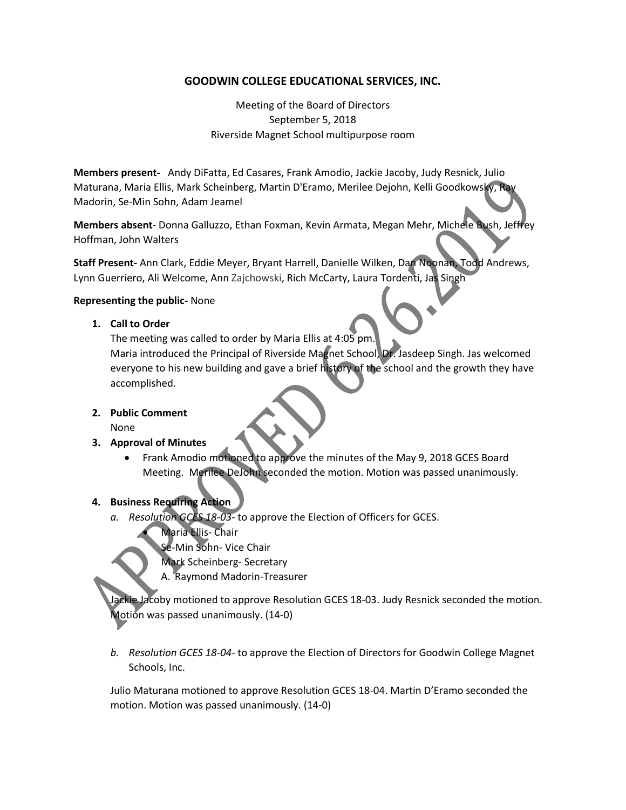## **GOODWIN COLLEGE EDUCATIONAL SERVICES, INC.**

Meeting of the Board of Directors September 5, 2018 Riverside Magnet School multipurpose room

**Members present-** Andy DiFatta, Ed Casares, Frank Amodio, Jackie Jacoby, Judy Resnick, Julio Maturana, Maria Ellis, Mark Scheinberg, Martin D'Eramo, Merilee Dejohn, Kelli Goodkowsky, Ray Madorin, Se-Min Sohn, Adam Jeamel

**Members absent**- Donna Galluzzo, Ethan Foxman, Kevin Armata, Megan Mehr, Michele Bush, Jeffrey Hoffman, John Walters

**Staff Present-** Ann Clark, Eddie Meyer, Bryant Harrell, Danielle Wilken, Dan Noonan, Todd Andrews, Lynn Guerriero, Ali Welcome, Ann Zajchowski, Rich McCarty, Laura Tordenti, Jas Singh

#### **Representing the public-** None

**1. Call to Order**

The meeting was called to order by Maria Ellis at 4:05 pm.

Maria introduced the Principal of Riverside Magnet School, Dr. Jasdeep Singh. Jas welcomed everyone to his new building and gave a brief history of the school and the growth they have accomplished.

**2. Public Comment**

None

- **3. Approval of Minutes** 
	- Frank Amodio motioned to approve the minutes of the May 9, 2018 GCES Board Meeting. Merilee DeJohn seconded the motion. Motion was passed unanimously.

# **4. Business Requiring Action**

- *a. Resolution GCES 18-03* to approve the Election of Officers for GCES.
	- Maria Ellis- Chair
	- Se-Min Sohn- Vice Chair
	- Mark Scheinberg- Secretary
	- A. Raymond Madorin-Treasurer

ackie Jacoby motioned to approve Resolution GCES 18-03. Judy Resnick seconded the motion. Motion was passed unanimously. (14-0)

*b. Resolution GCES 18-04*- to approve the Election of Directors for Goodwin College Magnet Schools, Inc.

Julio Maturana motioned to approve Resolution GCES 18-04. Martin D'Eramo seconded the motion. Motion was passed unanimously. (14-0)